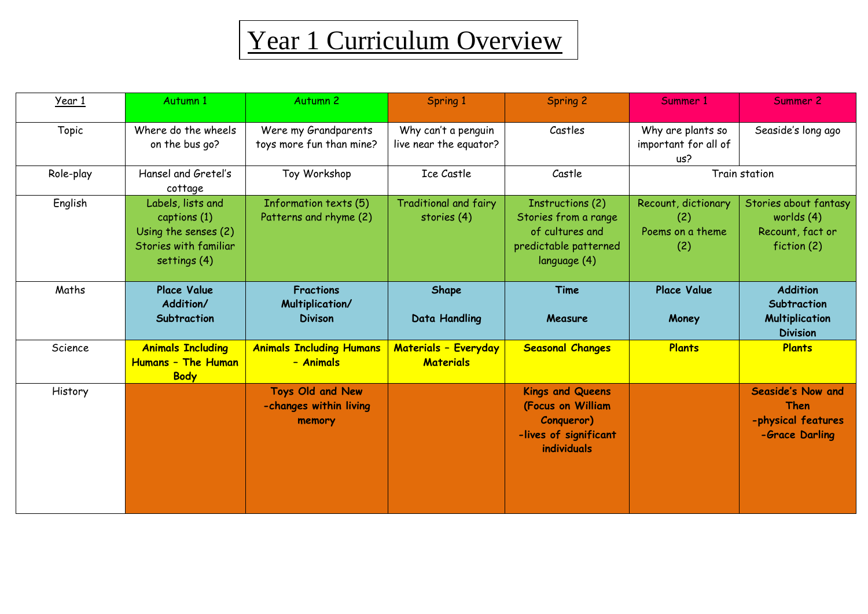## Year 1 Curriculum Overview

| Year 1    | Autumn 1                                                                                           | Autumn <sub>2</sub>                                   | Spring 1                                      | <b>Spring 2</b>                                                                                      | Summer 1                                              | Summer 2                                                                   |  |
|-----------|----------------------------------------------------------------------------------------------------|-------------------------------------------------------|-----------------------------------------------|------------------------------------------------------------------------------------------------------|-------------------------------------------------------|----------------------------------------------------------------------------|--|
| Topic     | Where do the wheels<br>on the bus go?                                                              | Were my Grandparents<br>toys more fun than mine?      | Why can't a penguin<br>live near the equator? | Castles                                                                                              | Why are plants so<br>important for all of<br>us?      | Seaside's long ago                                                         |  |
| Role-play | Hansel and Gretel's<br>cottage                                                                     | Toy Workshop                                          | <b>Ice Castle</b>                             | Castle                                                                                               | Train station                                         |                                                                            |  |
| English   | Labels, lists and<br>captions (1)<br>Using the senses (2)<br>Stories with familiar<br>settings (4) | Information texts (5)<br>Patterns and rhyme (2)       | <b>Traditional and fairy</b><br>stories (4)   | Instructions (2)<br>Stories from a range<br>of cultures and<br>predictable patterned<br>language (4) | Recount, dictionary<br>(2)<br>Poems on a theme<br>(2) | Stories about fantasy<br>worlds $(4)$<br>Recount, fact or<br>fiction (2)   |  |
| Maths     | <b>Place Value</b><br>Addition/<br>Subtraction                                                     | <b>Fractions</b><br>Multiplication/<br><b>Divison</b> | Shape<br><b>Data Handling</b>                 | Time<br>Measure                                                                                      | <b>Place Value</b><br>Money                           | <b>Addition</b><br>Subtraction<br><b>Multiplication</b><br><b>Division</b> |  |
| Science   | <b>Animals Including</b><br>Humans - The Human<br><b>Body</b>                                      | <b>Animals Including Humans</b><br>- Animals          | Materials - Everyday<br><b>Materials</b>      | <b>Seasonal Changes</b>                                                                              | <b>Plants</b>                                         | <b>Plants</b>                                                              |  |
| History   |                                                                                                    | Toys Old and New<br>-changes within living<br>memory  |                                               | <b>Kings and Queens</b><br>(Focus on William<br>Conqueror)<br>-lives of significant<br>individuals   |                                                       | <b>Seaside's Now and</b><br>Then<br>-physical features<br>-Grace Darling   |  |